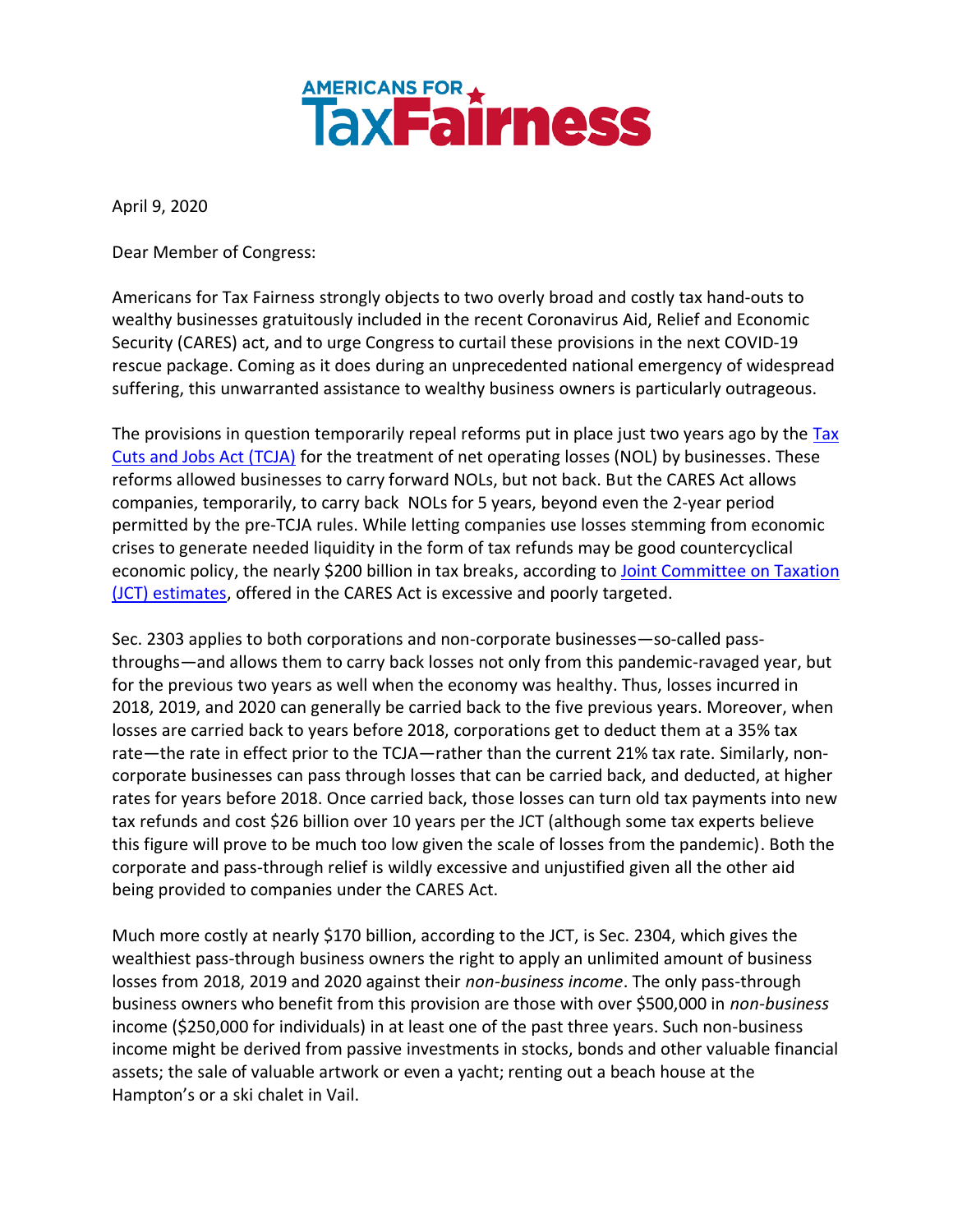## **AMERICANS FOR A**<br>**TAX Fairness**

April 9, 2020

Dear Member of Congress:

Americans for Tax Fairness strongly objects to two overly broad and costly tax hand-outs to wealthy businesses gratuitously included in the recent Coronavirus Aid, Relief and Economic Security (CARES) act, and to urge Congress to curtail these provisions in the next COVID-19 rescue package. Coming as it does during an unprecedented national emergency of widespread suffering, this unwarranted assistance to wealthy business owners is particularly outrageous.

The provisions in question temporarily repeal reforms put in place just two years ago by the Tax [Cuts and Jobs Act \(TCJA\)](https://www.businessinsider.com/trump-signs-republican-tax-reform-bill-2017-12) for the treatment of net operating losses (NOL) by businesses. These reforms allowed businesses to carry forward NOLs, but not back. But the CARES Act allows companies, temporarily, to carry back NOLs for 5 years, beyond even the 2-year period permitted by the pre-TCJA rules. While letting companies use losses stemming from economic crises to generate needed liquidity in the form of tax refunds may be good countercyclical economic policy, the nearly \$200 billion in tax breaks, according to Joint Committee on Taxation [\(JCT\) estimates,](https://www.jct.gov/publications.html?func=startdown&id=5252) offered in the CARES Act is excessive and poorly targeted.

Sec. 2303 applies to both corporations and non-corporate businesses—so-called passthroughs—and allows them to carry back losses not only from this pandemic-ravaged year, but for the previous two years as well when the economy was healthy. Thus, losses incurred in 2018, 2019, and 2020 can generally be carried back to the five previous years. Moreover, when losses are carried back to years before 2018, corporations get to deduct them at a 35% tax rate—the rate in effect prior to the TCJA—rather than the current 21% tax rate. Similarly, noncorporate businesses can pass through losses that can be carried back, and deducted, at higher rates for years before 2018. Once carried back, those losses can turn old tax payments into new tax refunds and cost \$26 billion over 10 years per the JCT (although some tax experts believe this figure will prove to be much too low given the scale of losses from the pandemic). Both the corporate and pass-through relief is wildly excessive and unjustified given all the other aid being provided to companies under the CARES Act.

Much more costly at nearly \$170 billion, according to the JCT, is Sec. 2304, which gives the wealthiest pass-through business owners the right to apply an unlimited amount of business losses from 2018, 2019 and 2020 against their *non-business income*. The only pass-through business owners who benefit from this provision are those with over \$500,000 in *non-business* income (\$250,000 for individuals) in at least one of the past three years. Such non-business income might be derived from passive investments in stocks, bonds and other valuable financial assets; the sale of valuable artwork or even a yacht; renting out a beach house at the Hampton's or a ski chalet in Vail.